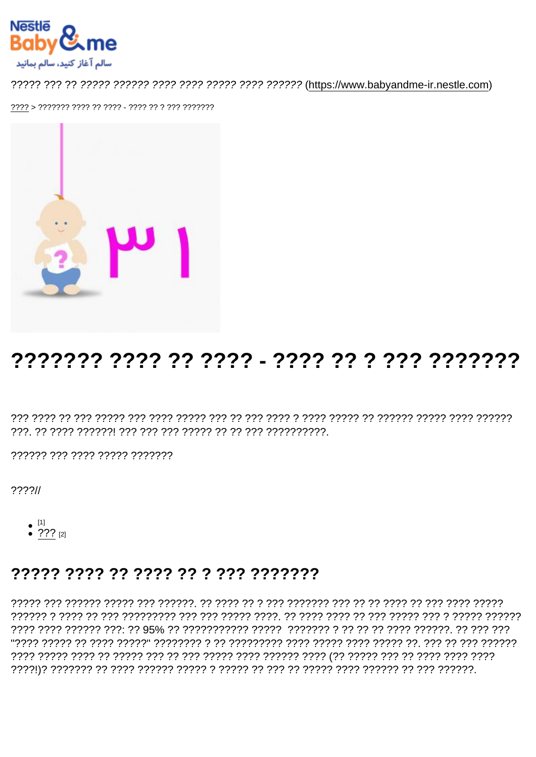# 

?????? ??? ???? ????? ???????

 $777711$ 

- 
- $^{[1]}$ <br>• 222 [2]

#### 77777 7777 77 7777 77 7 777 7777777